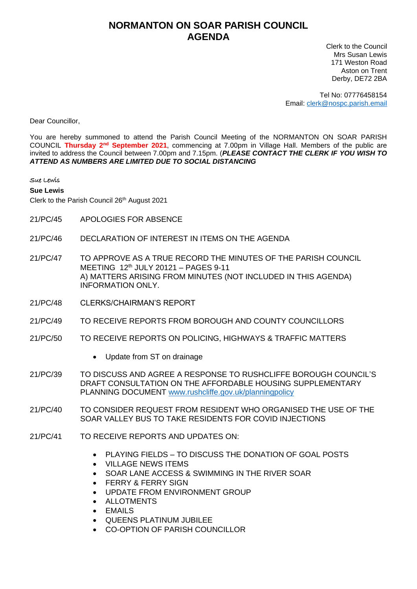## **NORMANTON ON SOAR PARISH COUNCIL AGENDA**

Clerk to the Council Mrs Susan Lewis 171 Weston Road Aston on Trent Derby, DE72 2BA

Tel No: 07776458154 Email: [clerk@nospc.parish.email](mailto:clerk@nospc.parish.email)

Dear Councillor,

You are hereby summoned to attend the Parish Council Meeting of the NORMANTON ON SOAR PARISH COUNCIL **Thursday 2nd September 2021**, commencing at 7.00pm in Village Hall. Members of the public are invited to address the Council between 7.00pm and 7.15pm. (*PLEASE CONTACT THE CLERK IF YOU WISH TO ATTEND AS NUMBERS ARE LIMITED DUE TO SOCIAL DISTANCING*

## Sue Lewis

**Sue Lewis**

Clerk to the Parish Council 26<sup>th</sup> August 2021

- 21/PC/45 APOLOGIES FOR ABSENCE
- 21/PC/46 DECLARATION OF INTEREST IN ITEMS ON THE AGENDA
- 21/PC/47 TO APPROVE AS A TRUE RECORD THE MINUTES OF THE PARISH COUNCIL MEETING 12 th JULY 20121 – PAGES 9-11 A) MATTERS ARISING FROM MINUTES (NOT INCLUDED IN THIS AGENDA) INFORMATION ONLY.
- 21/PC/48 CLERKS/CHAIRMAN'S REPORT
- 21/PC/49 TO RECEIVE REPORTS FROM BOROUGH AND COUNTY COUNCILLORS
- 21/PC/50 TO RECEIVE REPORTS ON POLICING, HIGHWAYS & TRAFFIC MATTERS
	- Update from ST on drainage
- 21/PC/39 TO DISCUSS AND AGREE A RESPONSE TO RUSHCLIFFE BOROUGH COUNCIL'S DRAFT CONSULTATION ON THE AFFORDABLE HOUSING SUPPLEMENTARY PLANNING DOCUMENT [www.rushcliffe.gov.uk/planningpolicy](http://www.rushcliffe.gov.uk/planningpolicy)
- 21/PC/40 TO CONSIDER REQUEST FROM RESIDENT WHO ORGANISED THE USE OF THE SOAR VALLEY BUS TO TAKE RESIDENTS FOR COVID INJECTIONS
- 21/PC/41 TO RECEIVE REPORTS AND UPDATES ON:
	- PLAYING FIELDS TO DISCUSS THE DONATION OF GOAL POSTS
	- VILLAGE NEWS ITEMS
	- SOAR LANE ACCESS & SWIMMING IN THE RIVER SOAR
	- **FERRY & FERRY SIGN**
	- UPDATE FROM ENVIRONMENT GROUP
	- **ALLOTMENTS**
	- EMAILS
	- QUEENS PLATINUM JUBILEE
	- CO-OPTION OF PARISH COUNCILLOR